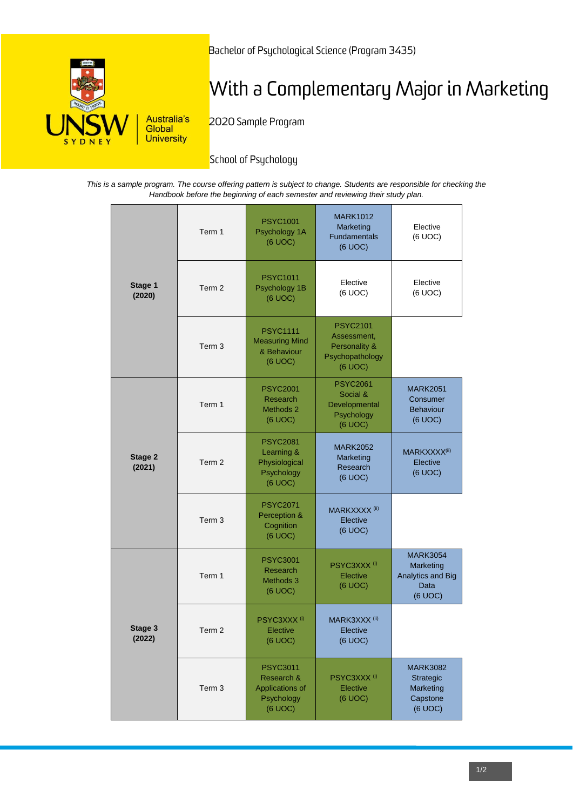

Bachelor of Psychological Science (Program 3435)

# With a Complementary Major in Marketing

2020 Sample Program

# School of Psychology

*This is a sample program. The course offering pattern is subject to change. Students are responsible for checking the Handbook before the beginning of each semester and reviewing their study plan.*

| Stage 1<br>(2020) | Term 1            | <b>PSYC1001</b><br>Psychology 1A<br>(6 UOC)                               | <b>MARK1012</b><br>Marketing<br><b>Fundamentals</b><br>(6 UOC)                | Elective<br>(6 UOC)                                                         |
|-------------------|-------------------|---------------------------------------------------------------------------|-------------------------------------------------------------------------------|-----------------------------------------------------------------------------|
|                   | Term <sub>2</sub> | <b>PSYC1011</b><br>Psychology 1B<br>(6 UOC)                               | Elective<br>(6 UOC)                                                           | Elective<br>(6 UOC)                                                         |
|                   | Term <sub>3</sub> | <b>PSYC1111</b><br><b>Measuring Mind</b><br>& Behaviour<br>(6 UOC)        | <b>PSYC2101</b><br>Assessment,<br>Personality &<br>Psychopathology<br>(6 UOC) |                                                                             |
| Stage 2<br>(2021) | Term 1            | <b>PSYC2001</b><br>Research<br>Methods 2<br>(6 UOC)                       | <b>PSYC2061</b><br>Social &<br>Developmental<br>Psychology<br>(6 UOC)         | <b>MARK2051</b><br>Consumer<br><b>Behaviour</b><br>(6 UOC)                  |
|                   | Term <sub>2</sub> | <b>PSYC2081</b><br>Learning &<br>Physiological<br>Psychology<br>(6 UOC)   | <b>MARK2052</b><br>Marketing<br>Research<br>(6 UOC)                           | MARKXXXX <sup>(ii)</sup><br>Elective<br>(6 UOC)                             |
|                   | Term <sub>3</sub> | <b>PSYC2071</b><br>Perception &<br>Cognition<br>(6 UOC)                   | MARKXXXX <sup>(ii)</sup><br>Elective<br>(6 UOC)                               |                                                                             |
| Stage 3<br>(2022) | Term 1            | <b>PSYC3001</b><br>Research<br>Methods 3<br>(6 UOC)                       | PSYC3XXX <sup>(i)</sup><br>Elective<br>(6 UOC)                                | <b>MARK3054</b><br><b>Marketing</b><br>Analytics and Big<br>Data<br>(6 UOC) |
|                   | Term 2            | PSYC3XXX <sup>(i)</sup><br>Elective<br>(6 UOC)                            | MARK3XXX <sup>(ii)</sup><br>Elective<br>(6 UOC)                               |                                                                             |
|                   | Term <sub>3</sub> | <b>PSYC3011</b><br>Research &<br>Applications of<br>Psychology<br>(6 UOC) | PSYC3XXX <sup>(i)</sup><br>Elective<br>(6 UOC)                                | <b>MARK3082</b><br>Strategic<br>Marketing<br>Capstone<br>(6 UOC)            |